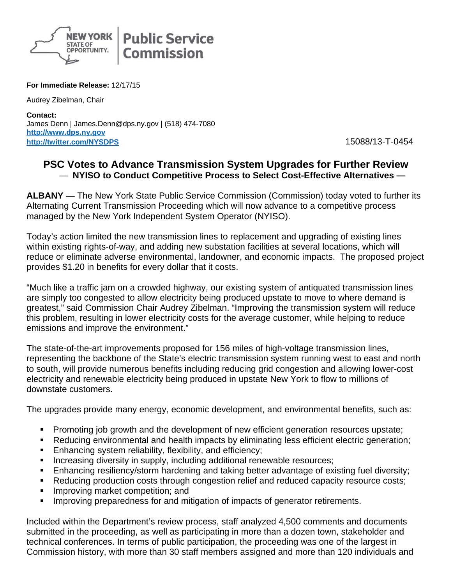

## **For Immediate Release:** 12/17/15

Audrey Zibelman, Chair

**Contact:**  James Denn | James.Denn@dps.ny.gov | (518) 474-7080 **http://www.dps.ny.gov http://twitter.com/NYSDPS** 15088/13-T-0454

## **PSC Votes to Advance Transmission System Upgrades for Further Review**  — **NYISO to Conduct Competitive Process to Select Cost-Effective Alternatives —**

**ALBANY** — The New York State Public Service Commission (Commission) today voted to further its Alternating Current Transmission Proceeding which will now advance to a competitive process managed by the New York Independent System Operator (NYISO).

Today's action limited the new transmission lines to replacement and upgrading of existing lines within existing rights-of-way, and adding new substation facilities at several locations, which will reduce or eliminate adverse environmental, landowner, and economic impacts. The proposed project provides \$1.20 in benefits for every dollar that it costs.

"Much like a traffic jam on a crowded highway, our existing system of antiquated transmission lines are simply too congested to allow electricity being produced upstate to move to where demand is greatest," said Commission Chair Audrey Zibelman. "Improving the transmission system will reduce this problem, resulting in lower electricity costs for the average customer, while helping to reduce emissions and improve the environment."

The state-of-the-art improvements proposed for 156 miles of high-voltage transmission lines, representing the backbone of the State's electric transmission system running west to east and north to south, will provide numerous benefits including reducing grid congestion and allowing lower-cost electricity and renewable electricity being produced in upstate New York to flow to millions of downstate customers.

The upgrades provide many energy, economic development, and environmental benefits, such as:

- **Promoting job growth and the development of new efficient generation resources upstate;**
- Reducing environmental and health impacts by eliminating less efficient electric generation;
- **Enhancing system reliability, flexibility, and efficiency;**
- Increasing diversity in supply, including additional renewable resources;
- Enhancing resiliency/storm hardening and taking better advantage of existing fuel diversity;
- Reducing production costs through congestion relief and reduced capacity resource costs;
- Improving market competition; and
- Improving preparedness for and mitigation of impacts of generator retirements.

Included within the Department's review process, staff analyzed 4,500 comments and documents submitted in the proceeding, as well as participating in more than a dozen town, stakeholder and technical conferences. In terms of public participation, the proceeding was one of the largest in Commission history, with more than 30 staff members assigned and more than 120 individuals and